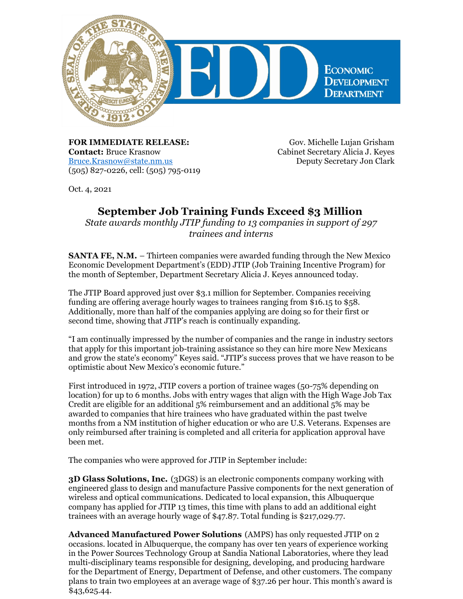

**FOR IMMEDIATE RELEASE: Contact:** Bruce Krasnow [Bruce.Krasnow@state.nm.us](mailto:Bruce.Krasnow@state.nm.us) (505) 827-0226, cell: (505) 795-0119

Gov. Michelle Lujan Grisham Cabinet Secretary Alicia J. Keyes Deputy Secretary Jon Clark

Oct. 4, 2021

## **September Job Training Funds Exceed \$3 Million**

*State awards monthly JTIP funding to 13 companies in support of 297 trainees and interns*

**SANTA FE, N.M.** – Thirteen companies were awarded funding through the New Mexico Economic Development Department's (EDD) JTIP (Job Training Incentive Program) for the month of September, Department Secretary Alicia J. Keyes announced today.

The JTIP Board approved just over \$3.1 million for September. Companies receiving funding are offering average hourly wages to trainees ranging from \$16.15 to \$58. Additionally, more than half of the companies applying are doing so for their first or second time, showing that JTIP's reach is continually expanding.

"I am continually impressed by the number of companies and the range in industry sectors that apply for this important job-training assistance so they can hire more New Mexicans and grow the state's economy" Keyes said. "JTIP's success proves that we have reason to be optimistic about New Mexico's economic future."

First introduced in 1972, JTIP covers a portion of trainee wages (50-75% depending on location) for up to 6 months. Jobs with entry wages that align with the High Wage Job Tax Credit are eligible for an additional 5% reimbursement and an additional 5% may be awarded to companies that hire trainees who have graduated within the past twelve months from a NM institution of higher education or who are U.S. Veterans. Expenses are only reimbursed after training is completed and all criteria for application approval have been met.

The companies who were approved for JTIP in September include:

**3D Glass Solutions, Inc.** (3DGS) is an electronic components company working with engineered glass to design and manufacture Passive components for the next generation of wireless and optical communications. Dedicated to local expansion, this Albuquerque company has applied for JTIP 13 times, this time with plans to add an additional eight trainees with an average hourly wage of \$47.87. Total funding is \$217,029.77.

**Advanced Manufactured Power Solutions** (AMPS) has only requested JTIP on 2 occasions. located in Albuquerque, the company has over ten years of experience working in the Power Sources Technology Group at Sandia National Laboratories, where they lead multi-disciplinary teams responsible for designing, developing, and producing hardware for the Department of Energy, Department of Defense, and other customers. The company plans to train two employees at an average wage of \$37.26 per hour. This month's award is \$43,625.44.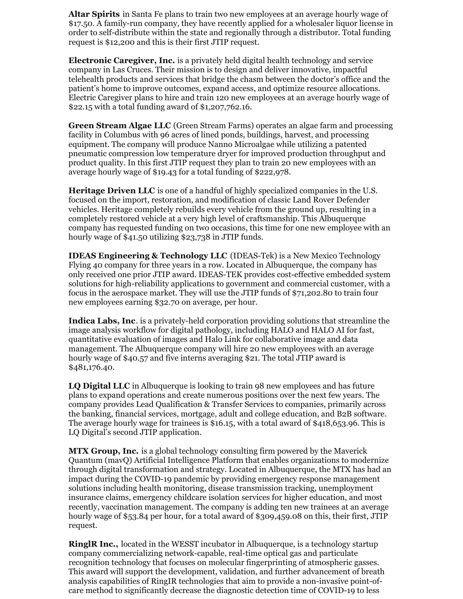**Altar Spirits** in Santa Fe plans to train two new employees at an average hourly wage of \$17.50. A family-run company, they have recently applied for a wholesaler liquor license in order to self-distribute within the state and regionally through a distributor. Total funding request is \$12,200 and this is their first JTIP request.

**Electronic Caregiver, Inc.** is a privately held digital health technology and service company in Las Cruces. Their mission is to design and deliver innovative, impactful telehealth products and services that bridge the chasm between the doctor's office and the patient's home to improve outcomes, expand access, and optimize resource allocations. Electric Caregiver plans to hire and train 120 new employees at an average hourly wage of \$22.15 with a total funding award of \$1,207,762.16.

**Green Stream Algae LLC** (Green Stream Farms) operates an algae farm and processing facility in Columbus with 96 acres of lined ponds, buildings, harvest, and processing equipment. The company will produce Nanno Microalgae while utilizing a patented pneumatic compression low temperature dryer for improved production throughput and product quality. In this first JTIP request they plan to train 20 new employees with an average hourly wage of \$19.43 for a total funding of \$222,978.

**Heritage Driven LLC** is one of a handful of highly specialized companies in the U.S. focused on the import, restoration, and modification of classic Land Rover Defender vehicles. Heritage completely rebuilds every vehicle from the ground up, resulting in a completely restored vehicle at a very high level of craftsmanship. This Albuquerque company has requested funding on two occasions, this time for one new employee with an hourly wage of \$41.50 utilizing \$23,738 in JTIP funds.

**IDEAS Engineering & Technology LLC** (IDEAS-Tek) is a New Mexico Technology Flying 40 company for three years in a row. Located in Albuquerque, the company has only received one prior JTIP award. IDEAS-TEK provides cost-effective embedded system solutions for high-reliability applications to government and commercial customer, with a focus in the aerospace market. They will use the JTIP funds of \$71,202.80 to train four new employees earning \$32.70 on average, per hour.

**Indica Labs, Inc**. is a privately-held corporation providing solutions that streamline the image analysis workflow for digital pathology, including HALO and HALO AI for fast, quantitative evaluation of images and Halo Link for collaborative image and data management. The Albuquerque company will hire 20 new employees with an average hourly wage of \$40.57 and five interns averaging \$21. The total JTIP award is \$481,176.40.

**LQ Digital LLC** in Albuquerque is looking to train 98 new employees and has future plans to expand operations and create numerous positions over the next few years. The company provides Lead Qualification & Transfer Services to companies, primarily across the banking, financial services, mortgage, adult and college education, and B2B software. The average hourly wage for trainees is \$16.15, with a total award of \$418,653.96. This is LQ Digital's second JTIP application.

**MTX Group, Inc.** is a global technology consulting firm powered by the Maverick Quantum (mavQ) Artificial Intelligence Platform that enables organizations to modernize through digital transformation and strategy. Located in Albuquerque, the MTX has had an impact during the COVID-19 pandemic by providing emergency response management solutions including health monitoring, disease transmission tracking, unemployment insurance claims, emergency childcare isolation services for higher education, and most recently, vaccination management. The company is adding ten new trainees at an average hourly wage of \$53.84 per hour, for a total award of \$309,459.08 on this, their first, JTIP request.

**RinglR Inc.,** located in the WESST incubator in Albuquerque, is a technology startup company commercializing network-capable, real-time optical gas and particulate recognition technology that focuses on molecular fingerprinting of atmospheric gasses. This award will support the development, validation, and further advancement of breath analysis capabilities of RingIR technologies that aim to provide a non-invasive point-ofcare method to significantly decrease the diagnostic detection time of COVID-19 to less